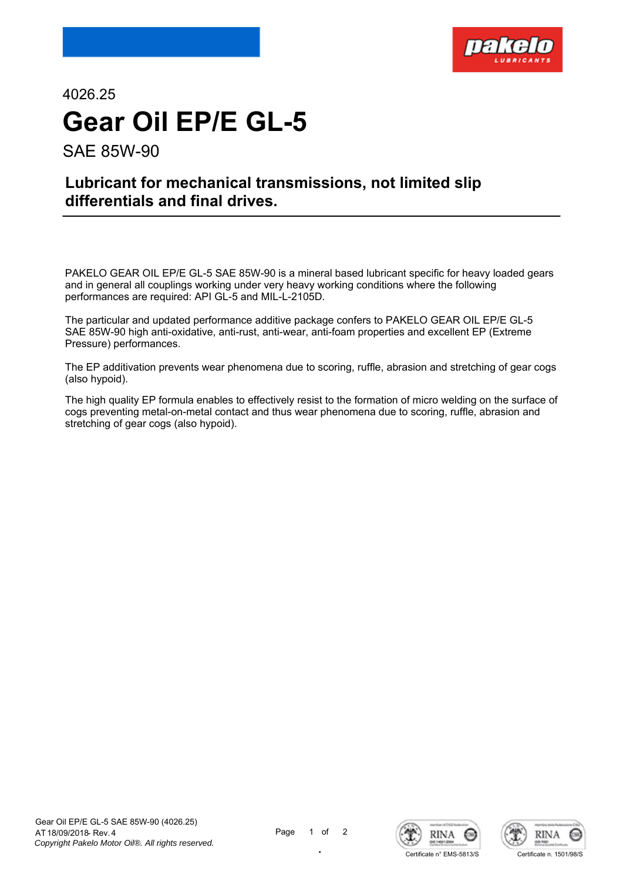

4026.25 **Gear Oil EP/E GL-5** SAE 85W-90

**Lubricant for mechanical transmissions, not limited slip differentials and final drives.**

PAKELO GEAR OIL EP/E GL-5 SAE 85W-90 is a mineral based lubricant specific for heavy loaded gears and in general all couplings working under very heavy working conditions where the following performances are required: API GL-5 and MIL-L-2105D.

The particular and updated performance additive package confers to PAKELO GEAR OIL EP/E GL-5 SAE 85W-90 high anti-oxidative, anti-rust, anti-wear, anti-foam properties and excellent EP (Extreme Pressure) performances.

The EP additivation prevents wear phenomena due to scoring, ruffle, abrasion and stretching of gear cogs (also hypoid).

The high quality EP formula enables to effectively resist to the formation of micro welding on the surface of cogs preventing metal-on-metal contact and thus wear phenomena due to scoring, ruffle, abrasion and stretching of gear cogs (also hypoid).